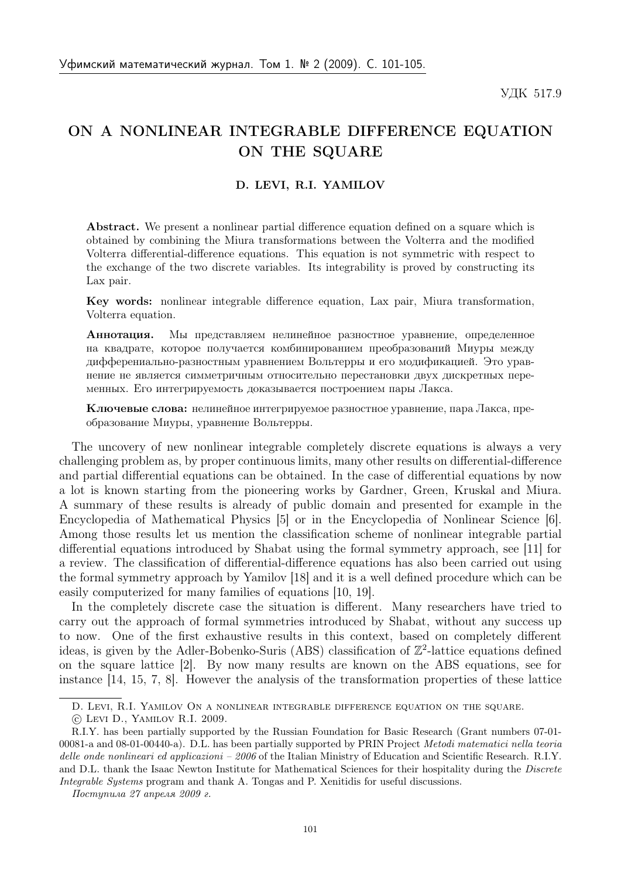## ON A NONLINEAR INTEGRABLE DIFFERENCE EQUATION ON THE SQUARE

## D. LEVI, R.I. YAMILOV

Abstract. We present a nonlinear partial difference equation defined on a square which is obtained by combining the Miura transformations between the Volterra and the modified Volterra differential-difference equations. This equation is not symmetric with respect to the exchange of the two discrete variables. Its integrability is proved by constructing its Lax pair.

Key words: nonlinear integrable difference equation, Lax pair, Miura transformation, Volterra equation.

Аннотация. Мы представляем нелинейное разностное уравнение, определенное на квадрате, которое получается комбинированием преобразований Миуры между дифферениально-разностным уравнением Вольтерры и его модификацией. Это уравнение не является симметричным относительно перестановки двух дискретных переменных. Его интегрируемость доказывается построением пары Лакса.

Ключевые слова: нелинейное интегрируемое разностное уравнение, пара Лакса, преобразование Миуры, уравнение Вольтерры.

The uncovery of new nonlinear integrable completely discrete equations is always a very challenging problem as, by proper continuous limits, many other results on differential-difference and partial differential equations can be obtained. In the case of differential equations by now a lot is known starting from the pioneering works by Gardner, Green, Kruskal and Miura. A summary of these results is already of public domain and presented for example in the Encyclopedia of Mathematical Physics [5] or in the Encyclopedia of Nonlinear Science [6]. Among those results let us mention the classification scheme of nonlinear integrable partial differential equations introduced by Shabat using the formal symmetry approach, see [11] for a review. The classification of differential-difference equations has also been carried out using the formal symmetry approach by Yamilov [18] and it is a well defined procedure which can be easily computerized for many families of equations [10, 19].

In the completely discrete case the situation is different. Many researchers have tried to carry out the approach of formal symmetries introduced by Shabat, without any success up to now. One of the first exhaustive results in this context, based on completely different ideas, is given by the Adler-Bobenko-Suris (ABS) classification of  $\mathbb{Z}^2$ -lattice equations defined on the square lattice [2]. By now many results are known on the ABS equations, see for instance [14, 15, 7, 8]. However the analysis of the transformation properties of these lattice

D. LEVI, R.I. YAMILOV ON A NONLINEAR INTEGRABLE DIFFERENCE EQUATION ON THE SQUARE.

<sup>(</sup>c) Levi D., YAMILOV R.I. 2009.

R.I.Y. has been partially supported by the Russian Foundation for Basic Research (Grant numbers 07-01- 00081-a and 08-01-00440-a). D.L. has been partially supported by PRIN Project Metodi matematici nella teoria delle onde nonlineari ed applicazioni – 2006 of the Italian Ministry of Education and Scientific Research. R.I.Y. and D.L. thank the Isaac Newton Institute for Mathematical Sciences for their hospitality during the Discrete Integrable Systems program and thank A. Tongas and P. Xenitidis for useful discussions.

Поступила 27 апреля 2009 г.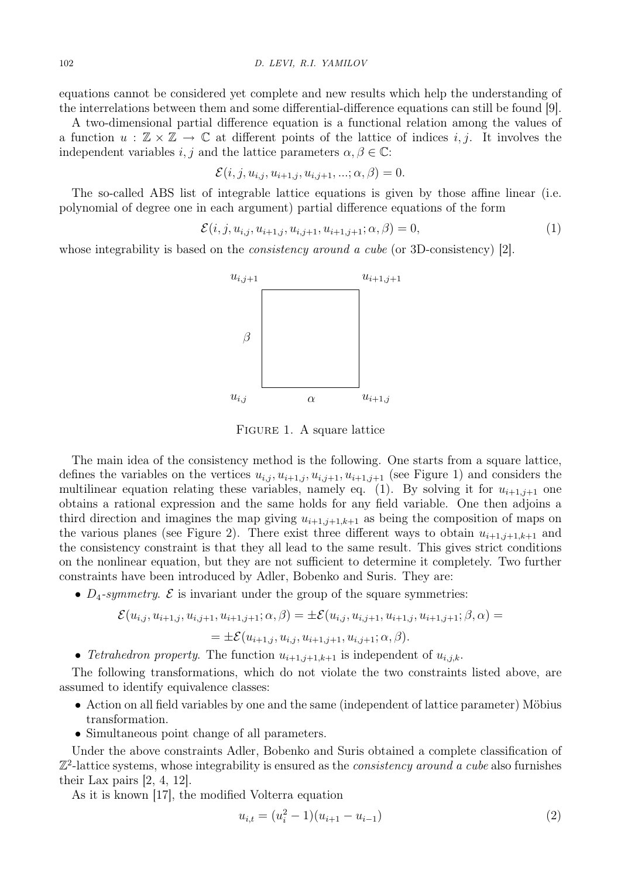equations cannot be considered yet complete and new results which help the understanding of the interrelations between them and some differential-difference equations can still be found [9].

A two-dimensional partial difference equation is a functional relation among the values of a function  $u : \mathbb{Z} \times \mathbb{Z} \to \mathbb{C}$  at different points of the lattice of indices i, j. It involves the independent variables  $i, j$  and the lattice parameters  $\alpha, \beta \in \mathbb{C}$ :

$$
\mathcal{E}(i,j,u_{i,j},u_{i+1,j},u_{i,j+1},\ldots;\alpha,\beta)=0.
$$

The so-called ABS list of integrable lattice equations is given by those affine linear (i.e. polynomial of degree one in each argument) partial difference equations of the form

$$
\mathcal{E}(i, j, u_{i,j}, u_{i+1,j}, u_{i,j+1}, u_{i+1,j+1}; \alpha, \beta) = 0,
$$
\n(1)

whose integrability is based on the *consistency around a cube* (or 3D-consistency) [2].



Figure 1. A square lattice

The main idea of the consistency method is the following. One starts from a square lattice, defines the variables on the vertices  $u_{i,j}, u_{i+1,j}, u_{i,j+1}, u_{i+1,j+1}$  (see Figure 1) and considers the multilinear equation relating these variables, namely eq. (1). By solving it for  $u_{i+1,j+1}$  one obtains a rational expression and the same holds for any field variable. One then adjoins a third direction and imagines the map giving  $u_{i+1,j+1,k+1}$  as being the composition of maps on the various planes (see Figure 2). There exist three different ways to obtain  $u_{i+1,i+1,k+1}$  and the consistency constraint is that they all lead to the same result. This gives strict conditions on the nonlinear equation, but they are not sufficient to determine it completely. Two further constraints have been introduced by Adler, Bobenko and Suris. They are:

•  $D_4$ -symmetry.  $\mathcal E$  is invariant under the group of the square symmetries:

$$
\mathcal{E}(u_{i,j}, u_{i+1,j}, u_{i,j+1}, u_{i+1,j+1}; \alpha, \beta) = \pm \mathcal{E}(u_{i,j}, u_{i,j+1}, u_{i+1,j}, u_{i+1,j+1}; \beta, \alpha) = = \pm \mathcal{E}(u_{i+1,j}, u_{i,j}, u_{i+1,j+1}, u_{i,j+1}; \alpha, \beta).
$$

• Tetrahedron property. The function  $u_{i+1,j+1,k+1}$  is independent of  $u_{i,j,k}$ .

The following transformations, which do not violate the two constraints listed above, are assumed to identify equivalence classes:

- Action on all field variables by one and the same (independent of lattice parameter) Möbius transformation.
- Simultaneous point change of all parameters.

Under the above constraints Adler, Bobenko and Suris obtained a complete classification of  $\mathbb{Z}^2$ -lattice systems, whose integrability is ensured as the *consistency around a cube* also furnishes their Lax pairs [2, 4, 12].

As it is known [17], the modified Volterra equation

$$
u_{i,t} = (u_i^2 - 1)(u_{i+1} - u_{i-1})
$$
\n(2)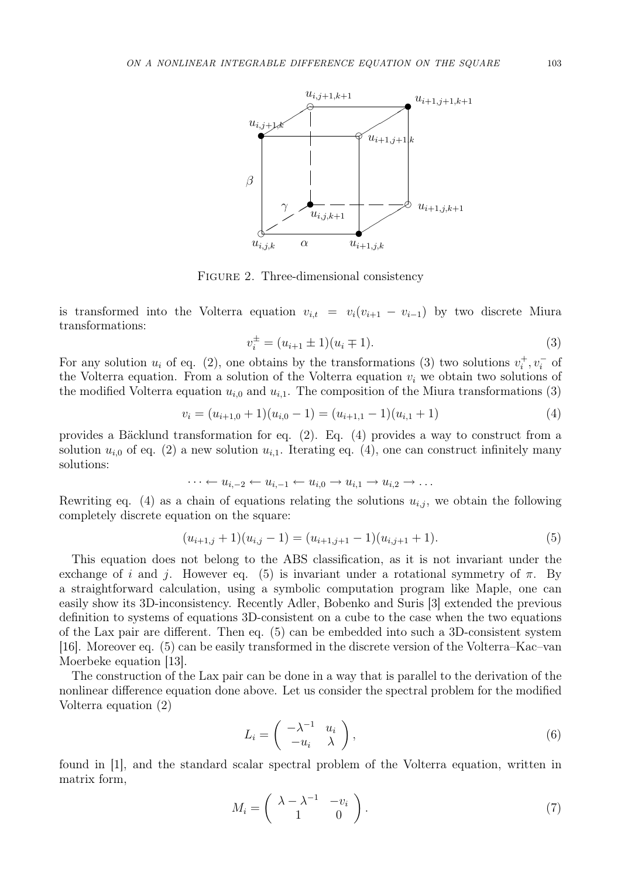

FIGURE 2. Three-dimensional consistency

is transformed into the Volterra equation  $v_{i,t} = v_i(v_{i+1} - v_{i-1})$  by two discrete Miura transformations:

$$
v_i^{\pm} = (u_{i+1} \pm 1)(u_i \mp 1). \tag{3}
$$

For any solution  $u_i$  of eq. (2), one obtains by the transformations (3) two solutions  $v_i^+$  $v_i^+, v_i^-$  of the Volterra equation. From a solution of the Volterra equation  $v_i$  we obtain two solutions of the modified Volterra equation  $u_{i,0}$  and  $u_{i,1}$ . The composition of the Miura transformations (3)

$$
v_i = (u_{i+1,0} + 1)(u_{i,0} - 1) = (u_{i+1,1} - 1)(u_{i,1} + 1)
$$
\n(4)

provides a Bäcklund transformation for eq.  $(2)$ . Eq.  $(4)$  provides a way to construct from a solution  $u_{i,0}$  of eq. (2) a new solution  $u_{i,1}$ . Iterating eq. (4), one can construct infinitely many solutions:

$$
\cdots \leftarrow u_{i,-2} \leftarrow u_{i,-1} \leftarrow u_{i,0} \rightarrow u_{i,1} \rightarrow u_{i,2} \rightarrow \ldots
$$

Rewriting eq. (4) as a chain of equations relating the solutions  $u_{i,j}$ , we obtain the following completely discrete equation on the square:

$$
(u_{i+1,j}+1)(u_{i,j}-1) = (u_{i+1,j+1}-1)(u_{i,j+1}+1). \tag{5}
$$

This equation does not belong to the ABS classification, as it is not invariant under the exchange of i and j. However eq. (5) is invariant under a rotational symmetry of  $\pi$ . By a straightforward calculation, using a symbolic computation program like Maple, one can easily show its 3D-inconsistency. Recently Adler, Bobenko and Suris [3] extended the previous definition to systems of equations 3D-consistent on a cube to the case when the two equations of the Lax pair are different. Then eq. (5) can be embedded into such a 3D-consistent system [16]. Moreover eq. (5) can be easily transformed in the discrete version of the Volterra–Kac–van Moerbeke equation [13].

The construction of the Lax pair can be done in a way that is parallel to the derivation of the nonlinear difference equation done above. Let us consider the spectral problem for the modified Volterra equation (2)

$$
L_i = \begin{pmatrix} -\lambda^{-1} & u_i \\ -u_i & \lambda \end{pmatrix}, \tag{6}
$$

found in [1], and the standard scalar spectral problem of the Volterra equation, written in matrix form,

$$
M_i = \left(\begin{array}{cc} \lambda - \lambda^{-1} & -v_i \\ 1 & 0 \end{array}\right). \tag{7}
$$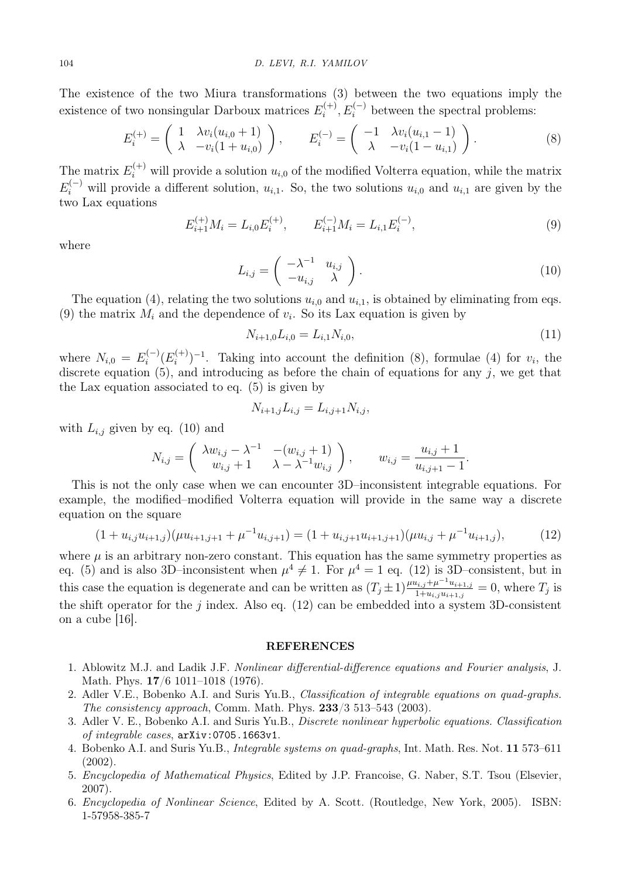The existence of the two Miura transformations (3) between the two equations imply the existence of two nonsingular Darboux matrices  $E_i^{(+)}$  $i_i^{(+)}, E_i^{(-)}$  between the spectral problems:

$$
E_i^{(+)} = \begin{pmatrix} 1 & \lambda v_i (u_{i,0} + 1) \\ \lambda & -v_i (1 + u_{i,0}) \end{pmatrix}, \qquad E_i^{(-)} = \begin{pmatrix} -1 & \lambda v_i (u_{i,1} - 1) \\ \lambda & -v_i (1 - u_{i,1}) \end{pmatrix}.
$$
 (8)

The matrix  $E_i^{(+)}$  will provide a solution  $u_{i,0}$  of the modified Volterra equation, while the matrix  $E_i^{(-)}$  will provide a different solution,  $u_{i,1}$ . So, the two solutions  $u_{i,0}$  and  $u_{i,1}$  are given by the two Lax equations

$$
E_{i+1}^{(+)}M_i = L_{i,0}E_i^{(+)}, \qquad E_{i+1}^{(-)}M_i = L_{i,1}E_i^{(-)}, \tag{9}
$$

where

$$
L_{i,j} = \begin{pmatrix} -\lambda^{-1} & u_{i,j} \\ -u_{i,j} & \lambda \end{pmatrix}.
$$
 (10)

The equation (4), relating the two solutions  $u_{i,0}$  and  $u_{i,1}$ , is obtained by eliminating from eqs. (9) the matrix  $M_i$  and the dependence of  $v_i$ . So its Lax equation is given by

$$
N_{i+1,0}L_{i,0} = L_{i,1}N_{i,0},\tag{11}
$$

where  $N_{i,0} = E_i^{(-)}$  $\bar{E}_i^{(-)}(E_i^{(+)})$  $(i^{(+)})^{-1}$ . Taking into account the definition (8), formulae (4) for  $v_i$ , the discrete equation  $(5)$ , and introducing as before the chain of equations for any j, we get that the Lax equation associated to eq. (5) is given by

$$
N_{i+1,j}L_{i,j} = L_{i,j+1}N_{i,j},
$$

with  $L_{i,j}$  given by eq. (10) and

$$
N_{i,j} = \begin{pmatrix} \lambda w_{i,j} - \lambda^{-1} & -(w_{i,j} + 1) \\ w_{i,j} + 1 & \lambda - \lambda^{-1} w_{i,j} \end{pmatrix}, \qquad w_{i,j} = \frac{u_{i,j} + 1}{u_{i,j+1} - 1}.
$$

This is not the only case when we can encounter 3D–inconsistent integrable equations. For example, the modified–modified Volterra equation will provide in the same way a discrete equation on the square

$$
(1+u_{i,j}u_{i+1,j})(\mu u_{i+1,j+1} + \mu^{-1}u_{i,j+1}) = (1+u_{i,j+1}u_{i+1,j+1})(\mu u_{i,j} + \mu^{-1}u_{i+1,j}),
$$
(12)

where  $\mu$  is an arbitrary non-zero constant. This equation has the same symmetry properties as eq. (5) and is also 3D-inconsistent when  $\mu^4 \neq 1$ . For  $\mu^4 = 1$  eq. (12) is 3D-consistent, but in this case the equation is degenerate and can be written as  $(T_j \pm 1) \frac{\mu u_{i,j} + \mu^{-1} u_{i+1,j}}{1 + u_{i,j} u_{i+1,j}} = 0$ , where  $T_j$  is the shift operator for the j index. Also eq.  $(12)$  can be embedded into a system 3D-consistent on a cube [16].

## REFERENCES

- 1. Ablowitz M.J. and Ladik J.F. Nonlinear differential-difference equations and Fourier analysis, J. Math. Phys. 17/6 1011–1018 (1976).
- 2. Adler V.E., Bobenko A.I. and Suris Yu.B., Classification of integrable equations on quad-graphs. The consistency approach, Comm. Math. Phys. 233/3 513–543 (2003).
- 3. Adler V. E., Bobenko A.I. and Suris Yu.B., Discrete nonlinear hyperbolic equations. Classification of integrable cases, arXiv:0705.1663v1.
- 4. Bobenko A.I. and Suris Yu.B., Integrable systems on quad-graphs, Int. Math. Res. Not. 11 573–611 (2002).
- 5. Encyclopedia of Mathematical Physics, Edited by J.P. Francoise, G. Naber, S.T. Tsou (Elsevier, 2007).
- 6. Encyclopedia of Nonlinear Science, Edited by A. Scott. (Routledge, New York, 2005). ISBN: 1-57958-385-7